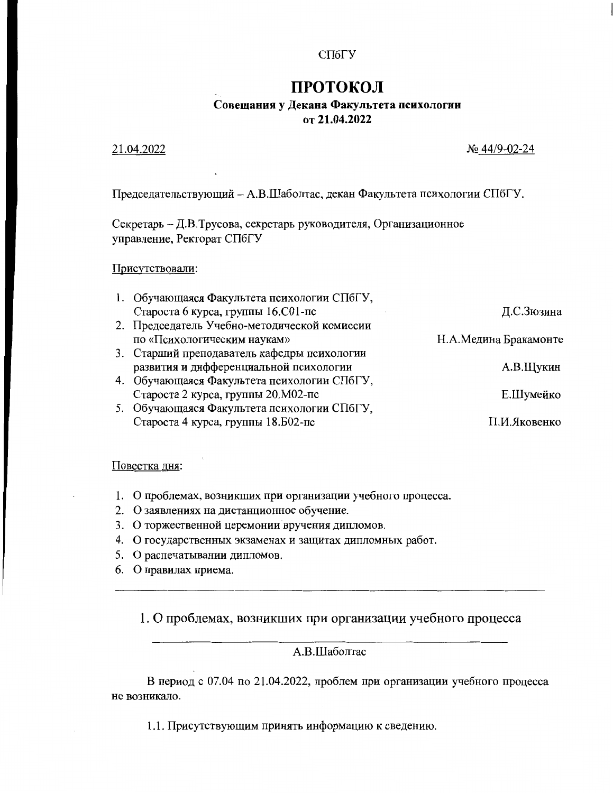### СПбГУ

# ПРОТОКОЛ

### Совещания у Декана Факультета психологии от 21.04.2022

### 21.04.2022

### No 44/9-02-24

Председательствующий - А.В.Шаболтас, декан Факультета психологии СПбГУ.

Секретарь - Д.В.Трусова, секретарь руководителя, Организационное управление, Ректорат СПбГУ

#### Присутствовали:

| 1. Обучающаяся Факультета психологии СПбГУ,  |                       |
|----------------------------------------------|-----------------------|
| Староста 6 курса, группы 16.С01-пс           | Д.С.Зюзина            |
| 2. Председатель Учебно-методической комиссии |                       |
| по «Психологическим наукам»                  | Н.А.Медина Бракамонте |
| 3. Старший преподаватель кафедры психологии  |                       |
| развития и дифференциальной психологии       | А.В.Щукин             |
| 4. Обучающаяся Факультета психологии СПбГУ,  |                       |
| Староста 2 курса, группы 20. М02-пс          | Е.Шумейко             |
| 5. Обучающаяся Факультета психологии СПбГУ,  |                       |
| Староста 4 курса, группы 18.502-пс           | П.И.Яковенко          |
|                                              |                       |

### Повестка дня:

- 1. О проблемах, возникших при организации учебного процесса.
- 2. О заявлениях на дистанционное обучение.
- 3. О торжественной церемонии вручения дипломов.
- 4. О государственных экзаменах и защитах дипломных работ.
- 5. О распечатывании дипломов.
- 6. О правилах приема.

## 1. О проблемах, возникших при организации учебного процесса

## A.B.IIIаболтас

В период с 07.04 по 21.04.2022, проблем при организации учебного процесса не возникало.

1.1. Присутствующим принять информацию к сведению.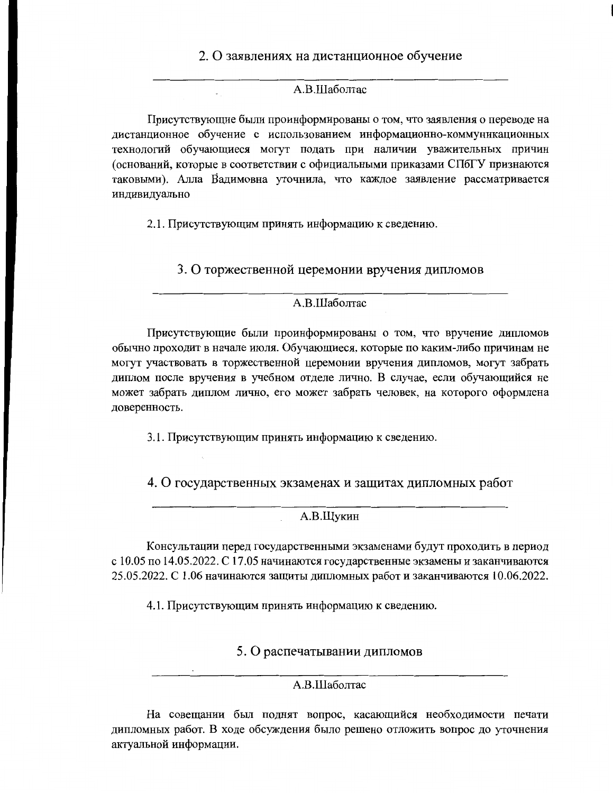## 2. О заявлениях на дистанционное обучение

### А.В.Шаболтас

Присутствующие были проинформированы о том, что заявления о переводе на дистанционное обучение с использованием информационно-коммуникационных технологий обучающиеся могут подать при наличии уважительных причин (оснований, которые в соответствии с официальными приказами СПбГУ признаются таковыми). Алла Вадимовна уточнила, что каждое заявление рассматривается индивидуально

2.1. Присутствующим принять информацию к сведению.

3. О торжественной церемонии вручения дипломов

## A.B.IIIаболтас

Присутствующие были проинформированы о том, что вручение дипломов обычно проходит в начале июля. Обучающиеся, которые по каким-либо причинам не могут участвовать в торжественной церемонии вручения дипломов, могут забрать диплом после вручения в учебном отделе лично. В случае, если обучающийся не может забрать диплом лично, его может забрать человек, на которого оформлена доверенность.

3.1. Присутствующим принять информацию к сведению.

4. О государственных экзаменах и защитах дипломных работ

## А.В.Щукин

Консультации перед государственными экзаменами будут проходить в период с 10.05 по 14.05.2022. С 17.05 начинаются государственные экзамены и заканчиваются 25.05.2022. С 1.06 начинаются защиты дипломных работ и заканчиваются 10.06.2022.

4.1. Присутствующим принять информацию к сведению.

5. О распечатывании дипломов

## А.В.Шаболтас

На совещании был поднят вопрос, касающийся необходимости печати дипломных работ. В ходе обсуждения было решено отложить вопрос до уточнения актуальной информации.